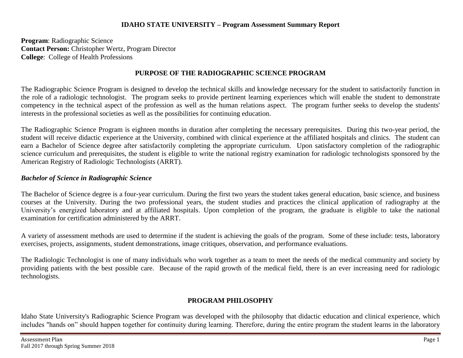## **IDAHO STATE UNIVERSITY – Program Assessment Summary Report**

**Program**: Radiographic Science **Contact Person:** Christopher Wertz, Program Director **College**: College of Health Professions

## **PURPOSE OF THE RADIOGRAPHIC SCIENCE PROGRAM**

The Radiographic Science Program is designed to develop the technical skills and knowledge necessary for the student to satisfactorily function in the role of a radiologic technologist. The program seeks to provide pertinent learning experiences which will enable the student to demonstrate competency in the technical aspect of the profession as well as the human relations aspect. The program further seeks to develop the students' interests in the professional societies as well as the possibilities for continuing education.

The Radiographic Science Program is eighteen months in duration after completing the necessary prerequisites. During this two-year period, the student will receive didactic experience at the University, combined with clinical experience at the affiliated hospitals and clinics. The student can earn a Bachelor of Science degree after satisfactorily completing the appropriate curriculum. Upon satisfactory completion of the radiographic science curriculum and prerequisites, the student is eligible to write the national registry examination for radiologic technologists sponsored by the American Registry of Radiologic Technologists (ARRT).

## *Bachelor of Science in Radiographic Science*

The Bachelor of Science degree is a four-year curriculum. During the first two years the student takes general education, basic science, and business courses at the University. During the two professional years, the student studies and practices the clinical application of radiography at the University's energized laboratory and at affiliated hospitals. Upon completion of the program, the graduate is eligible to take the national examination for certification administered by the ARRT.

A variety of assessment methods are used to determine if the student is achieving the goals of the program. Some of these include: tests, laboratory exercises, projects, assignments, student demonstrations, image critiques, observation, and performance evaluations.

The Radiologic Technologist is one of many individuals who work together as a team to meet the needs of the medical community and society by providing patients with the best possible care. Because of the rapid growth of the medical field, there is an ever increasing need for radiologic technologists.

## **PROGRAM PHILOSOPHY**

Idaho State University's Radiographic Science Program was developed with the philosophy that didactic education and clinical experience, which includes "hands on" should happen together for continuity during learning. Therefore, during the entire program the student learns in the laboratory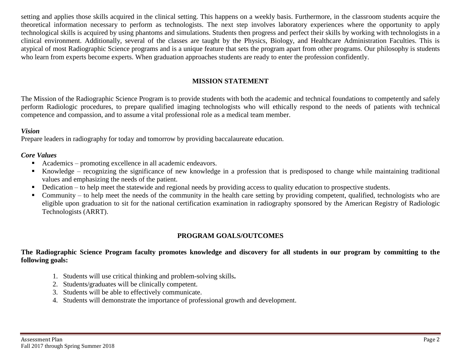setting and applies those skills acquired in the clinical setting. This happens on a weekly basis. Furthermore, in the classroom students acquire the theoretical information necessary to perform as technologists. The next step involves laboratory experiences where the opportunity to apply technological skills is acquired by using phantoms and simulations. Students then progress and perfect their skills by working with technologists in a clinical environment. Additionally, several of the classes are taught by the Physics, Biology, and Healthcare Administration Faculties. This is atypical of most Radiographic Science programs and is a unique feature that sets the program apart from other programs. Our philosophy is students who learn from experts become experts. When graduation approaches students are ready to enter the profession confidently.

## **MISSION STATEMENT**

The Mission of the Radiographic Science Program is to provide students with both the academic and technical foundations to competently and safely perform Radiologic procedures, to prepare qualified imaging technologists who will ethically respond to the needs of patients with technical competence and compassion, and to assume a vital professional role as a medical team member.

#### *Vision*

Prepare leaders in radiography for today and tomorrow by providing baccalaureate education.

## *Core Values*

- Academics promoting excellence in all academic endeavors.
- Knowledge recognizing the significance of new knowledge in a profession that is predisposed to change while maintaining traditional values and emphasizing the needs of the patient.
- Dedication to help meet the statewide and regional needs by providing access to quality education to prospective students.
- Community to help meet the needs of the community in the health care setting by providing competent, qualified, technologists who are eligible upon graduation to sit for the national certification examination in radiography sponsored by the American Registry of Radiologic Technologists (ARRT).

## **PROGRAM GOALS/OUTCOMES**

## **The Radiographic Science Program faculty promotes knowledge and discovery for all students in our program by committing to the following goals:**

- 1. Students will use critical thinking and problem-solving skills**.**
- 2. Students/graduates will be clinically competent.
- 3. Students will be able to effectively communicate.
- 4. Students will demonstrate the importance of professional growth and development.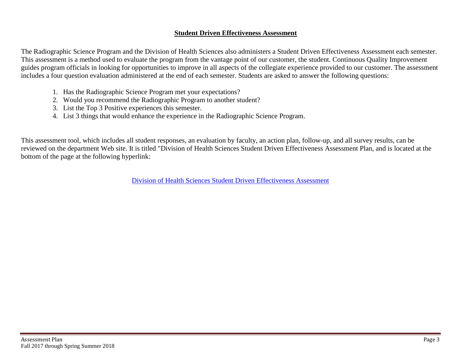## **Student Driven Effectiveness Assessment**

The Radiographic Science Program and the Division of Health Sciences also administers a Student Driven Effectiveness Assessment each semester. This assessment is a method used to evaluate the program from the vantage point of our customer, the student. Continuous Quality Improvement guides program officials in looking for opportunities to improve in all aspects of the collegiate experience provided to our customer. The assessment includes a four question evaluation administered at the end of each semester. Students are asked to answer the following questions:

- 1. Has the Radiographic Science Program met your expectations?
- 2. Would you recommend the Radiographic Program to another student?
- 3. List the Top 3 Positive experiences this semester.
- 4. List 3 things that would enhance the experience in the Radiographic Science Program.

This assessment tool, which includes all student responses, an evaluation by faculty, an action plan, follow-up, and all survey results, can be reviewed on the department Web site. It is titled "Division of Health Sciences Student Driven Effectiveness Assessment Plan, and is located at the bottom of the page at the following hyperlink:

[Division of Health Sciences Student Driven Effectiveness](http://www.isu.edu/radsci/admindata.shtml) Assessment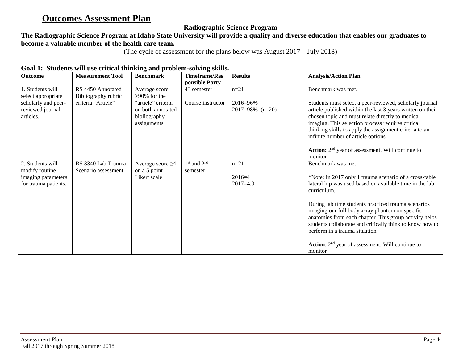# **Outcomes Assessment Plan**

## **Radiographic Science Program**

## **The Radiographic Science Program at Idaho State University will provide a quality and diverse education that enables our graduates to become a valuable member of the health care team.**

(The cycle of assessment for the plans below was August 2017 – July 2018)

| Goal 1: Students will use critical thinking and problem-solving skills. |                                           |                                                                        |                                        |                                    |                                                                                                                                                                                                                                                                                                                                                                                                 |  |
|-------------------------------------------------------------------------|-------------------------------------------|------------------------------------------------------------------------|----------------------------------------|------------------------------------|-------------------------------------------------------------------------------------------------------------------------------------------------------------------------------------------------------------------------------------------------------------------------------------------------------------------------------------------------------------------------------------------------|--|
| <b>Outcome</b>                                                          | <b>Measurement Tool</b>                   | <b>Benchmark</b>                                                       | <b>Timeframe/Res</b><br>ponsible Party | <b>Results</b>                     | <b>Analysis/Action Plan</b>                                                                                                                                                                                                                                                                                                                                                                     |  |
| 1. Students will<br>select appropriate                                  | RS 4450 Annotated<br>Bibliography rubric  | Average score<br>$>90\%$ for the                                       | $4th$ semester                         | $n = 21$                           | Benchmark was met.                                                                                                                                                                                                                                                                                                                                                                              |  |
| scholarly and peer-<br>reviewed journal<br>articles.                    | criteria "Article"                        | "article" criteria<br>on both annotated<br>bibliography<br>assignments | Course instructor                      | $2016 = 96%$<br>$2017=98\%$ (n=20) | Students must select a peer-reviewed, scholarly journal<br>article published within the last 3 years written on their<br>chosen topic and must relate directly to medical<br>imaging. This selection process requires critical<br>thinking skills to apply the assignment criteria to an<br>infinite number of article options.<br>Action: 2 <sup>nd</sup> year of assessment. Will continue to |  |
|                                                                         |                                           |                                                                        |                                        |                                    | monitor                                                                                                                                                                                                                                                                                                                                                                                         |  |
| 2. Students will<br>modify routine<br>imaging parameters                | RS 3340 Lab Trauma<br>Scenario assessment | Average score $\geq$ 4<br>on a 5 point<br>Likert scale                 | $1st$ and $2nd$<br>semester            | $n = 21$<br>$2016=4$               | Benchmark was met<br>*Note: In 2017 only 1 trauma scenario of a cross-table                                                                                                                                                                                                                                                                                                                     |  |
| for trauma patients.                                                    |                                           |                                                                        |                                        | $2017=4.9$                         | lateral hip was used based on available time in the lab<br>curriculum.                                                                                                                                                                                                                                                                                                                          |  |
|                                                                         |                                           |                                                                        |                                        |                                    | During lab time students practiced trauma scenarios<br>imaging our full body x-ray phantom on specific<br>anatomies from each chapter. This group activity helps<br>students collaborate and critically think to know how to<br>perform in a trauma situation.                                                                                                                                  |  |
|                                                                         |                                           |                                                                        |                                        |                                    | <b>Action:</b> $2nd$ year of assessment. Will continue to<br>monitor                                                                                                                                                                                                                                                                                                                            |  |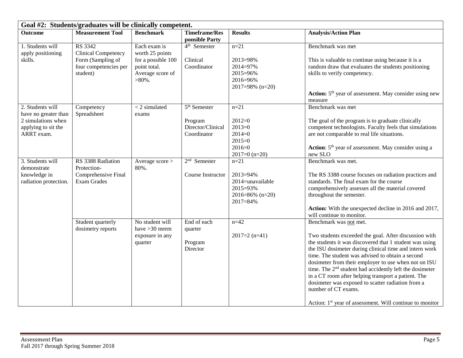| Goal #2: Students/graduates will be clinically competent.                                           |                                                                                                        |                                                                                                        |                                                                             |                                                                                         |                                                                                                                                                                                                                                                                                                                                                                                                                                                                                                                                                                                                    |  |
|-----------------------------------------------------------------------------------------------------|--------------------------------------------------------------------------------------------------------|--------------------------------------------------------------------------------------------------------|-----------------------------------------------------------------------------|-----------------------------------------------------------------------------------------|----------------------------------------------------------------------------------------------------------------------------------------------------------------------------------------------------------------------------------------------------------------------------------------------------------------------------------------------------------------------------------------------------------------------------------------------------------------------------------------------------------------------------------------------------------------------------------------------------|--|
| <b>Outcome</b>                                                                                      | <b>Measurement Tool</b>                                                                                | <b>Benchmark</b>                                                                                       | <b>Timeframe/Res</b><br>ponsible Party                                      | <b>Results</b>                                                                          | <b>Analysis/Action Plan</b>                                                                                                                                                                                                                                                                                                                                                                                                                                                                                                                                                                        |  |
| 1. Students will<br>apply positioning<br>skills.                                                    | <b>RS 3342</b><br><b>Clinical Competency</b><br>Form (Sampling of<br>four competencies per<br>student) | Each exam is<br>worth 25 points<br>for a possible 100<br>point total.<br>Average score of<br>$>80\%$ . | 4 <sup>th</sup> Semester<br>Clinical<br>Coordinator                         | $n=21$<br>2013=98%<br>2014=97%<br>2015=96%<br>2016=96%<br>$2017=98\%$ (n=20)            | Benchmark was met<br>This is valuable to continue using because it is a<br>random draw that evaluates the students positioning<br>skills to verify competency.<br>Action: 5 <sup>th</sup> year of assessment. May consider using new<br>measure                                                                                                                                                                                                                                                                                                                                                    |  |
| 2. Students will<br>have no greater than<br>2 simulations when<br>applying to sit the<br>ARRT exam. | Competency<br>Spreadsheet                                                                              | $\overline{z}$ simulated<br>exams                                                                      | $\overline{5^{th}}$ Semester<br>Program<br>Director/Clinical<br>Coordinator | $n = 21$<br>$2012=0$<br>$2013=0$<br>$2014=0$<br>$2015=0$<br>$2016=0$<br>$2017=0$ (n=20) | Benchmark was met<br>The goal of the program is to graduate clinically<br>competent technologists. Faculty feels that simulations<br>are not comparable to real life situations.<br>Action: 5 <sup>th</sup> year of assessment. May consider using a<br>new SLO                                                                                                                                                                                                                                                                                                                                    |  |
| 3. Students will<br>demonstrate<br>knowledge in<br>radiation protection.                            | RS 3388 Radiation<br>Protection-<br>Comprehensive Final<br><b>Exam Grades</b>                          | Average score ><br>80%.                                                                                | $2nd$ Semester<br>Course Instructor                                         | $n = 21$<br>2013=94%<br>2014=unavailable<br>2015=93%<br>2016=86% $(n=20)$<br>2017=84%   | Benchmark was met.<br>The RS 3388 course focuses on radiation practices and<br>standards. The final exam for the course<br>comprehensively assesses all the material covered<br>throughout the semester.<br>Action: With the unexpected decline in 2016 and 2017,<br>will continue to monitor.                                                                                                                                                                                                                                                                                                     |  |
|                                                                                                     | Student quarterly<br>dosimetry reports                                                                 | No student will<br>have $>30$ mrem<br>exposure in any<br>quarter                                       | End of each<br>quarter<br>Program<br>Director                               | $n = 42$<br>$2017=2$ (n=41)                                                             | Benchmark was not met.<br>Two students exceeded the goal. After discussion with<br>the students it was discovered that 1 student was using<br>the ISU dosimeter during clinical time and intern work<br>time. The student was advised to obtain a second<br>dosimeter from their employer to use when not on ISU<br>time. The 2 <sup>nd</sup> student had accidently left the dosimeter<br>in a CT room after helping transport a patient. The<br>dosimeter was exposed to scatter radiation from a<br>number of CT exams.<br>Action: 1 <sup>st</sup> year of assessment. Will continue to monitor |  |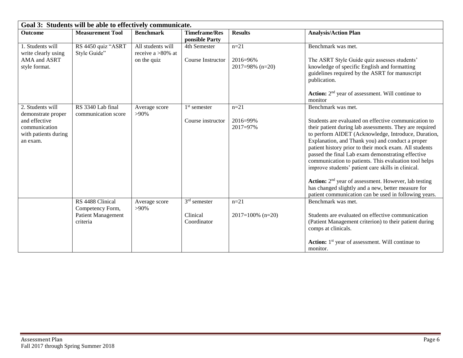| Goal 3: Students will be able to effectively communicate.          |                                          |                                           |                                        |                                    |                                                                                                                                                                                                                                                                                                                                                                                                                                                                                                                                                                                                                                             |  |  |
|--------------------------------------------------------------------|------------------------------------------|-------------------------------------------|----------------------------------------|------------------------------------|---------------------------------------------------------------------------------------------------------------------------------------------------------------------------------------------------------------------------------------------------------------------------------------------------------------------------------------------------------------------------------------------------------------------------------------------------------------------------------------------------------------------------------------------------------------------------------------------------------------------------------------------|--|--|
| <b>Outcome</b>                                                     | <b>Measurement Tool</b>                  | <b>Benchmark</b>                          | <b>Timeframe/Res</b><br>ponsible Party | <b>Results</b>                     | <b>Analysis/Action Plan</b>                                                                                                                                                                                                                                                                                                                                                                                                                                                                                                                                                                                                                 |  |  |
| 1. Students will<br>write clearly using                            | RS 4450 quiz "ASRT<br>Style Guide"       | All students will<br>receive a $>80\%$ at | 4th Semester                           | $n=21$                             | Benchmark was met.                                                                                                                                                                                                                                                                                                                                                                                                                                                                                                                                                                                                                          |  |  |
| AMA and ASRT<br>style format.                                      |                                          | on the quiz                               | Course Instructor                      | $2016 = 96%$<br>$2017=98\%$ (n=20) | The ASRT Style Guide quiz assesses students'<br>knowledge of specific English and formatting<br>guidelines required by the ASRT for manuscript<br>publication.                                                                                                                                                                                                                                                                                                                                                                                                                                                                              |  |  |
|                                                                    |                                          |                                           |                                        |                                    | <b>Action:</b> $2nd$ year of assessment. Will continue to<br>monitor                                                                                                                                                                                                                                                                                                                                                                                                                                                                                                                                                                        |  |  |
| 2. Students will<br>demonstrate proper                             | RS 3340 Lab final<br>communication score | Average score<br>$>90\%$                  | $1st$ semester                         | $n = 21$                           | Benchmark was met.                                                                                                                                                                                                                                                                                                                                                                                                                                                                                                                                                                                                                          |  |  |
| and effective<br>communication<br>with patients during<br>an exam. |                                          |                                           | Course instructor                      | 2016=99%<br>2017=97%               | Students are evaluated on effective communication to<br>their patient during lab assessments. They are required<br>to perform AIDET (Acknowledge, Introduce, Duration,<br>Explanation, and Thank you) and conduct a proper<br>patient history prior to their mock exam. All students<br>passed the final Lab exam demonstrating effective<br>communication to patients. This evaluation tool helps<br>improve students' patient care skills in clinical.<br>Action: 2 <sup>nd</sup> year of assessment. However, lab testing<br>has changed slightly and a new, better measure for<br>patient communication can be used in following years. |  |  |
|                                                                    | RS 4488 Clinical<br>Competency Form,     | Average score<br>$>90\%$                  | $3rd$ semester                         | $n = 21$                           | Benchmark was met.                                                                                                                                                                                                                                                                                                                                                                                                                                                                                                                                                                                                                          |  |  |
|                                                                    | <b>Patient Management</b><br>criteria    |                                           | Clinical<br>Coordinator                | $2017=100\%$ (n=20)                | Students are evaluated on effective communication<br>(Patient Management criterion) to their patient during<br>comps at clinicals.                                                                                                                                                                                                                                                                                                                                                                                                                                                                                                          |  |  |
|                                                                    |                                          |                                           |                                        |                                    | <b>Action:</b> 1 <sup>st</sup> year of assessment. Will continue to<br>monitor.                                                                                                                                                                                                                                                                                                                                                                                                                                                                                                                                                             |  |  |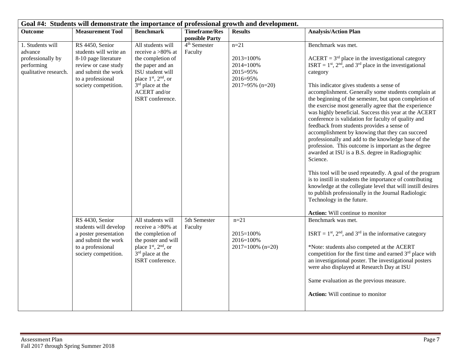| Goal #4: Students will demonstrate the importance of professional growth and development. |                                                                                                                                                               |                                                                                                                                                                                                        |                                     |                                                                             |                                                                                                                                                                                                                                                                                                                                                                                                                                                                                                                                                                                                                                                                                                                                                                                                                                                                                                                                                                                                                                                      |  |
|-------------------------------------------------------------------------------------------|---------------------------------------------------------------------------------------------------------------------------------------------------------------|--------------------------------------------------------------------------------------------------------------------------------------------------------------------------------------------------------|-------------------------------------|-----------------------------------------------------------------------------|------------------------------------------------------------------------------------------------------------------------------------------------------------------------------------------------------------------------------------------------------------------------------------------------------------------------------------------------------------------------------------------------------------------------------------------------------------------------------------------------------------------------------------------------------------------------------------------------------------------------------------------------------------------------------------------------------------------------------------------------------------------------------------------------------------------------------------------------------------------------------------------------------------------------------------------------------------------------------------------------------------------------------------------------------|--|
| <b>Outcome</b>                                                                            | <b>Measurement Tool</b>                                                                                                                                       | <b>Benchmark</b>                                                                                                                                                                                       | <b>Timeframe/Res</b>                | <b>Results</b>                                                              | <b>Analysis/Action Plan</b>                                                                                                                                                                                                                                                                                                                                                                                                                                                                                                                                                                                                                                                                                                                                                                                                                                                                                                                                                                                                                          |  |
|                                                                                           |                                                                                                                                                               |                                                                                                                                                                                                        | ponsible Party                      |                                                                             |                                                                                                                                                                                                                                                                                                                                                                                                                                                                                                                                                                                                                                                                                                                                                                                                                                                                                                                                                                                                                                                      |  |
| 1. Students will<br>advance<br>professionally by<br>performing<br>qualitative research.   | RS 4450, Senior<br>students will write an<br>8-10 page literature<br>review or case study<br>and submit the work<br>to a professional<br>society competition. | All students will<br>receive a $>80\%$ at<br>the completion of<br>the paper and an<br>ISU student will<br>place $1st$ , $2nd$ , or<br>3 <sup>rd</sup> place at the<br>ACERT and/or<br>ISRT conference. | 4 <sup>th</sup> Semester<br>Faculty | $n=21$<br>2013=100%<br>2014=100%<br>2015=95%<br>2016=95%<br>2017=95% (n=20) | Benchmark was met.<br>$ACERT = 3rd$ place in the investigational category<br>ISRT = $1st$ , $2nd$ , and $3rd$ place in the investigational<br>category<br>This indicator gives students a sense of<br>accomplishment. Generally some students complain at<br>the beginning of the semester, but upon completion of<br>the exercise most generally agree that the experience<br>was highly beneficial. Success this year at the ACERT<br>conference is validation for faculty of quality and<br>feedback from students provides a sense of<br>accomplishment by knowing that they can succeed<br>professionally and add to the knowledge base of the<br>profession. This outcome is important as the degree<br>awarded at ISU is a B.S. degree in Radiographic<br>Science.<br>This tool will be used repeatedly. A goal of the program<br>is to instill in students the importance of contributing<br>knowledge at the collegiate level that will instill desires<br>to publish professionally in the Journal Radiologic<br>Technology in the future. |  |
|                                                                                           |                                                                                                                                                               |                                                                                                                                                                                                        |                                     |                                                                             | Action: Will continue to monitor                                                                                                                                                                                                                                                                                                                                                                                                                                                                                                                                                                                                                                                                                                                                                                                                                                                                                                                                                                                                                     |  |
|                                                                                           | RS 4430, Senior<br>students will develop<br>a poster presentation<br>and submit the work<br>to a professional<br>society competition.                         | All students will<br>receive a >80% at<br>the completion of<br>the poster and will<br>place 1 <sup>st</sup> , 2 <sup>nd</sup> , or<br>$3rd$ place at the<br>ISRT conference.                           | 5th Semester<br>Faculty             | $n=21$<br>2015=100%<br>2016=100%<br>$2017=100\%$ (n=20)                     | Benchmark was met.<br>ISRT = $1st$ , $2nd$ , and $3rd$ in the informative category<br>*Note: students also competed at the ACERT<br>competition for the first time and earned 3 <sup>rd</sup> place with<br>an investigational poster. The investigational posters<br>were also displayed at Research Day at ISU<br>Same evaluation as the previous measure.<br><b>Action:</b> Will continue to monitor                                                                                                                                                                                                                                                                                                                                                                                                                                                                                                                                                                                                                                              |  |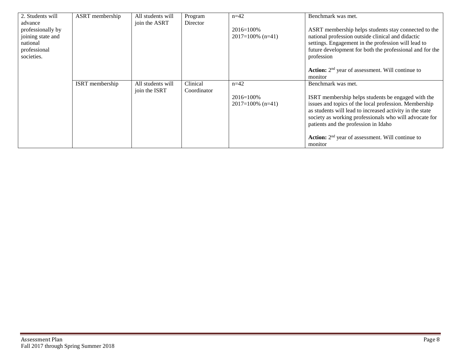| 2. Students will  | ASRT membership | All students will | Program     | $n=42$              | Benchmark was met.                                        |
|-------------------|-----------------|-------------------|-------------|---------------------|-----------------------------------------------------------|
| advance           |                 | join the ASRT     | Director    |                     |                                                           |
| professionally by |                 |                   |             | $2016 = 100\%$      | ASRT membership helps students stay connected to the      |
| joining state and |                 |                   |             | $2017=100\%$ (n=41) | national profession outside clinical and didactic         |
| national          |                 |                   |             |                     | settings. Engagement in the profession will lead to       |
| professional      |                 |                   |             |                     | future development for both the professional and for the  |
| societies.        |                 |                   |             |                     | profession                                                |
|                   |                 |                   |             |                     |                                                           |
|                   |                 |                   |             |                     | <b>Action:</b> $2nd$ year of assessment. Will continue to |
|                   |                 |                   |             |                     | monitor                                                   |
|                   | ISRT membership | All students will | Clinical    | $n=42$              | Benchmark was met.                                        |
|                   |                 | join the ISRT     | Coordinator |                     |                                                           |
|                   |                 |                   |             | $2016 = 100\%$      | ISRT membership helps students be engaged with the        |
|                   |                 |                   |             | $2017=100\%$ (n=41) | issues and topics of the local profession. Membership     |
|                   |                 |                   |             |                     | as students will lead to increased activity in the state  |
|                   |                 |                   |             |                     | society as working professionals who will advocate for    |
|                   |                 |                   |             |                     | patients and the profession in Idaho                      |
|                   |                 |                   |             |                     |                                                           |
|                   |                 |                   |             |                     | <b>Action:</b> $2nd$ year of assessment. Will continue to |
|                   |                 |                   |             |                     | monitor                                                   |